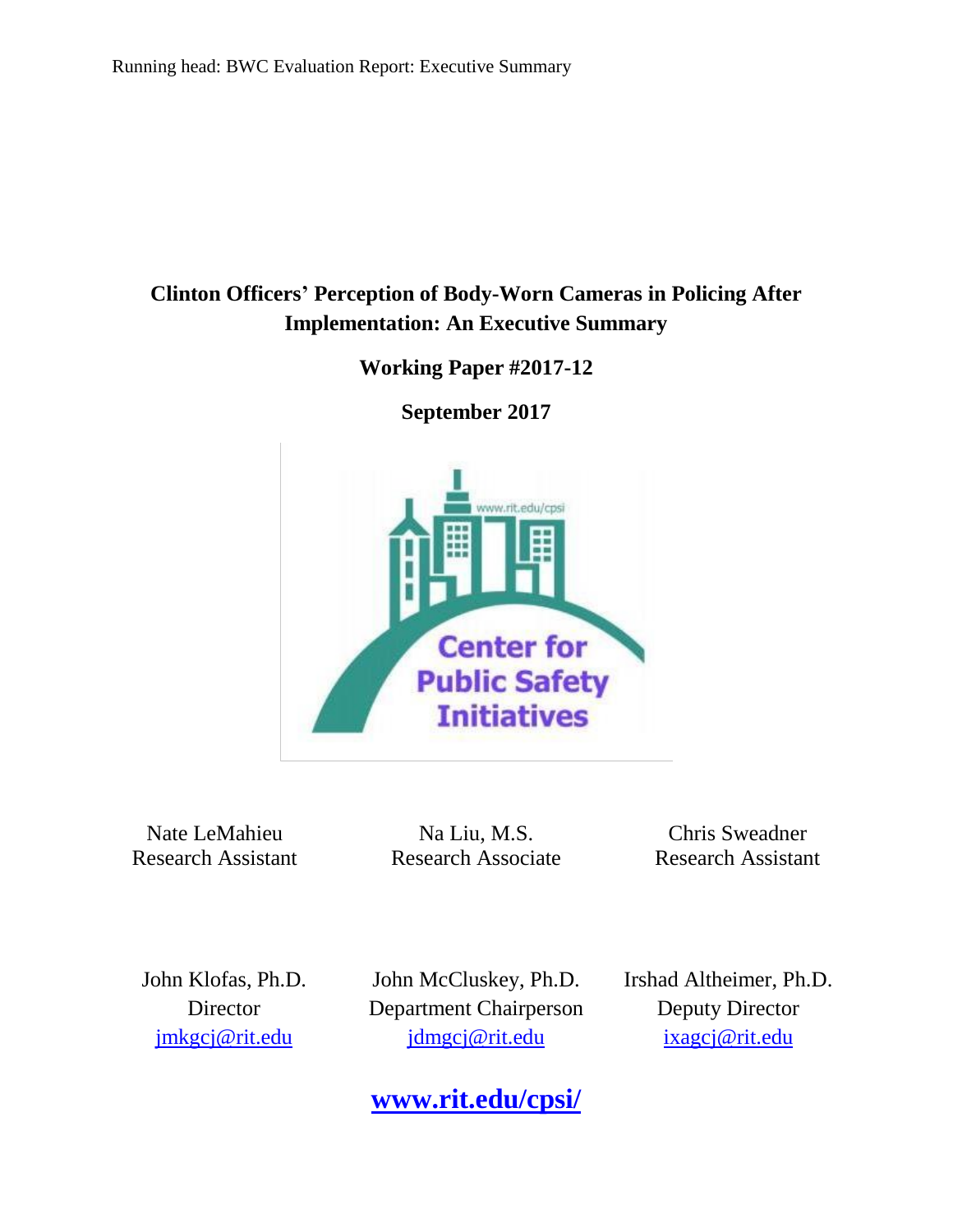# **Clinton Officers' Perception of Body-Worn Cameras in Policing After Implementation: An Executive Summary**

**Working Paper #2017-12**

**September 2017**



Nate LeMahieu Research Assistant

Na Liu, M.S. Research Associate

Chris Sweadner Research Assistant

John Klofas, Ph.D. **Director** [jmkgcj@rit.edu](mailto:jmkgcj@rit.edu)

John McCluskey, Ph.D. Department Chairperson jdmgcj@rit.edu

Irshad Altheimer, Ph.D. Deputy Director [ixagcj@rit.edu](mailto:ixagcj@rit.edu)

**[www.rit.edu/cpsi/](http://www.rit.edu/cpsi/)**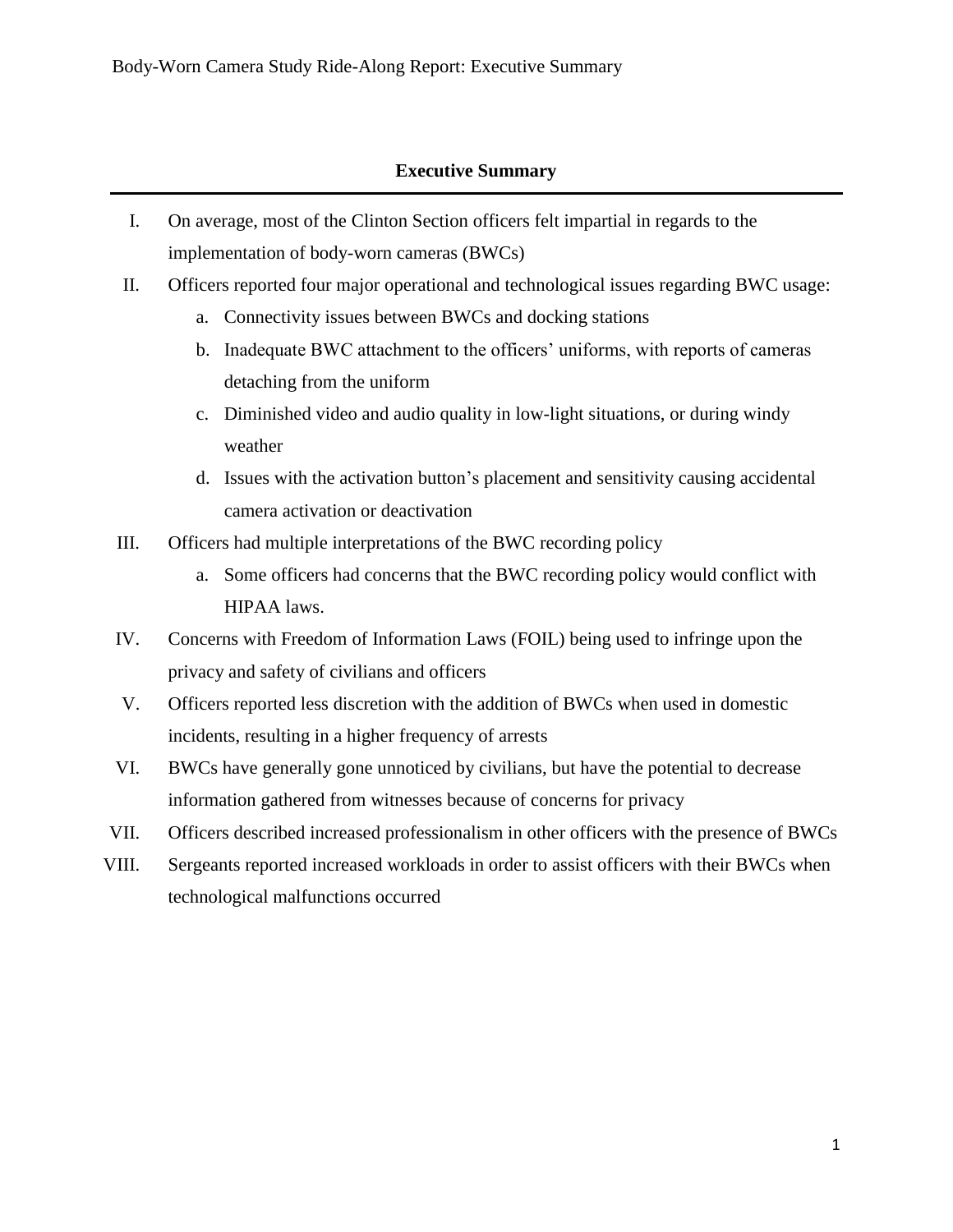# **Executive Summary**

- I. On average, most of the Clinton Section officers felt impartial in regards to the implementation of body-worn cameras (BWCs)
- II. Officers reported four major operational and technological issues regarding BWC usage:
	- a. Connectivity issues between BWCs and docking stations
	- b. Inadequate BWC attachment to the officers' uniforms, with reports of cameras detaching from the uniform
	- c. Diminished video and audio quality in low-light situations, or during windy weather
	- d. Issues with the activation button's placement and sensitivity causing accidental camera activation or deactivation
- III. Officers had multiple interpretations of the BWC recording policy
	- a. Some officers had concerns that the BWC recording policy would conflict with HIPAA laws.
- IV. Concerns with Freedom of Information Laws (FOIL) being used to infringe upon the privacy and safety of civilians and officers
- V. Officers reported less discretion with the addition of BWCs when used in domestic incidents, resulting in a higher frequency of arrests
- VI. BWCs have generally gone unnoticed by civilians, but have the potential to decrease information gathered from witnesses because of concerns for privacy
- VII. Officers described increased professionalism in other officers with the presence of BWCs
- VIII. Sergeants reported increased workloads in order to assist officers with their BWCs when technological malfunctions occurred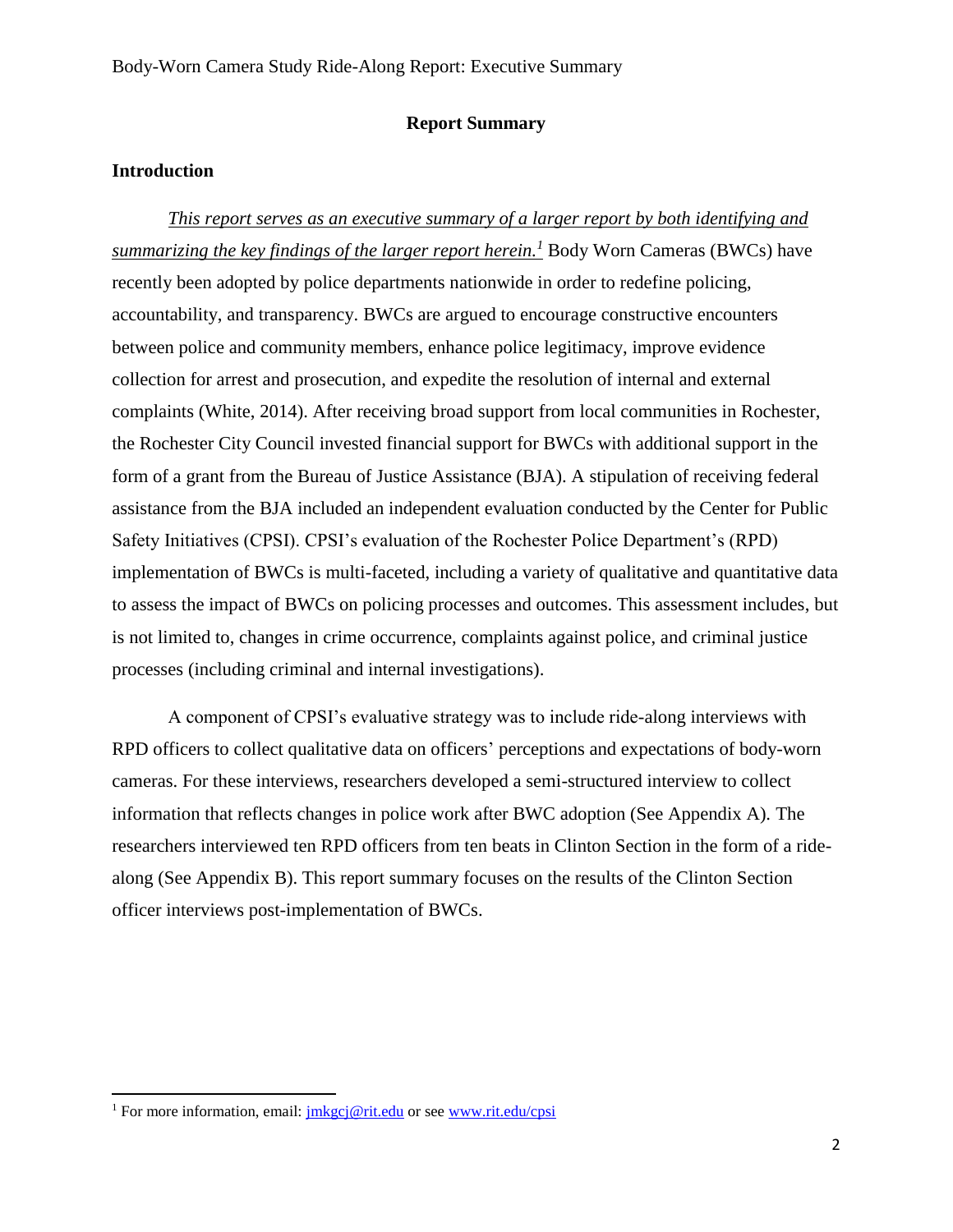#### **Report Summary**

### **Introduction**

*This report serves as an executive summary of a larger report by both identifying and summarizing the key findings of the larger report herein.<sup>1</sup>* Body Worn Cameras (BWCs) have recently been adopted by police departments nationwide in order to redefine policing, accountability, and transparency. BWCs are argued to encourage constructive encounters between police and community members, enhance police legitimacy, improve evidence collection for arrest and prosecution, and expedite the resolution of internal and external complaints (White, 2014). After receiving broad support from local communities in Rochester, the Rochester City Council invested financial support for BWCs with additional support in the form of a grant from the Bureau of Justice Assistance (BJA). A stipulation of receiving federal assistance from the BJA included an independent evaluation conducted by the Center for Public Safety Initiatives (CPSI). CPSI's evaluation of the Rochester Police Department's (RPD) implementation of BWCs is multi-faceted, including a variety of qualitative and quantitative data to assess the impact of BWCs on policing processes and outcomes. This assessment includes, but is not limited to, changes in crime occurrence, complaints against police, and criminal justice processes (including criminal and internal investigations).

A component of CPSI's evaluative strategy was to include ride-along interviews with RPD officers to collect qualitative data on officers' perceptions and expectations of body-worn cameras. For these interviews, researchers developed a semi-structured interview to collect information that reflects changes in police work after BWC adoption (See Appendix A). The researchers interviewed ten RPD officers from ten beats in Clinton Section in the form of a ridealong (See Appendix B). This report summary focuses on the results of the Clinton Section officer interviews post-implementation of BWCs.

 $\overline{\phantom{a}}$ 

<sup>&</sup>lt;sup>1</sup> For more information, email:  $\frac{\text{imkgc}}{\text{imkgc}}$  erit.edu or see [www.rit.edu/cpsi](http://www.rit.edu/cpsi)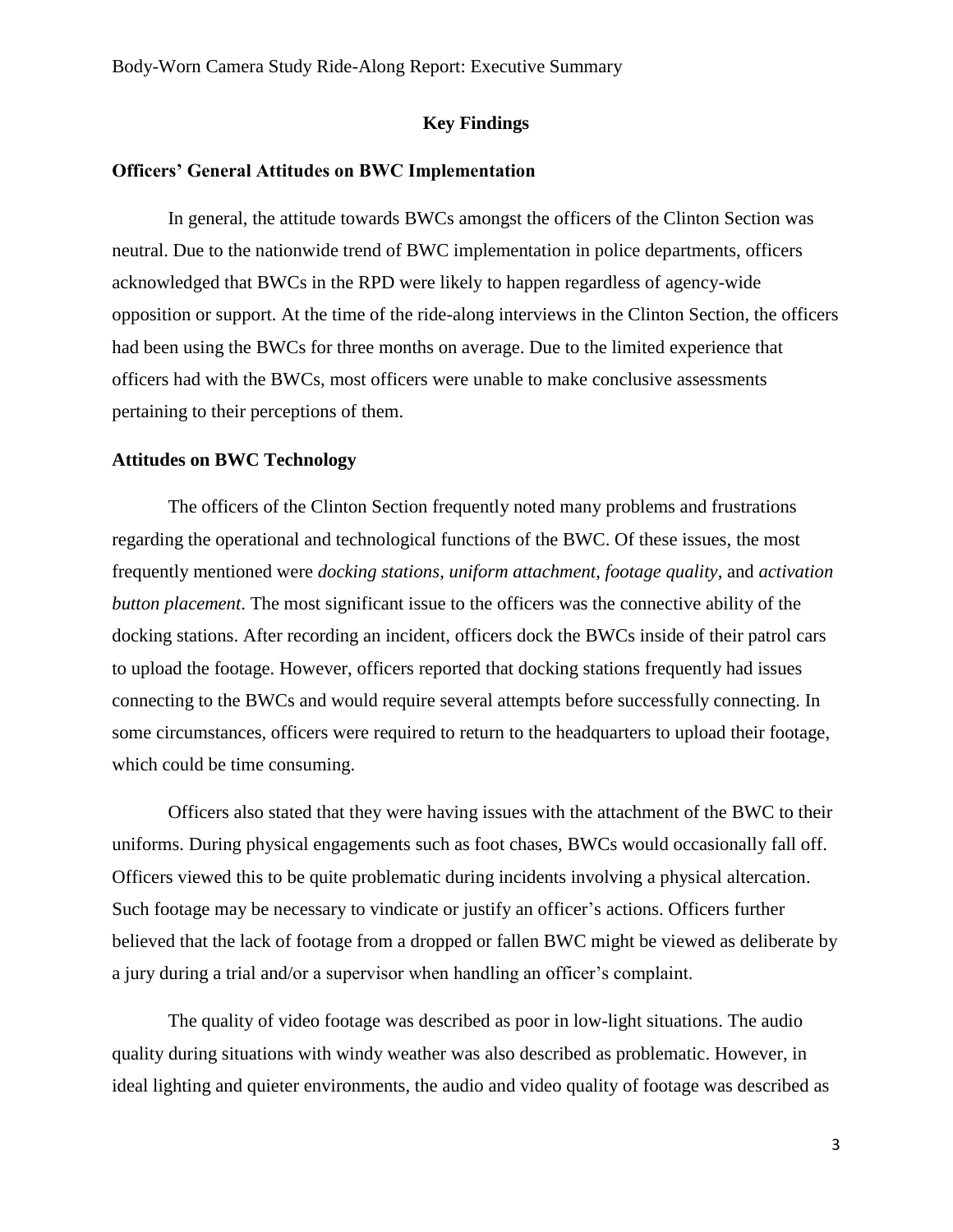## **Key Findings**

### **Officers' General Attitudes on BWC Implementation**

In general, the attitude towards BWCs amongst the officers of the Clinton Section was neutral. Due to the nationwide trend of BWC implementation in police departments, officers acknowledged that BWCs in the RPD were likely to happen regardless of agency-wide opposition or support. At the time of the ride-along interviews in the Clinton Section, the officers had been using the BWCs for three months on average. Due to the limited experience that officers had with the BWCs, most officers were unable to make conclusive assessments pertaining to their perceptions of them.

#### **Attitudes on BWC Technology**

The officers of the Clinton Section frequently noted many problems and frustrations regarding the operational and technological functions of the BWC. Of these issues, the most frequently mentioned were *docking stations*, *uniform attachment*, *footage quality*, and *activation button placement*. The most significant issue to the officers was the connective ability of the docking stations. After recording an incident, officers dock the BWCs inside of their patrol cars to upload the footage. However, officers reported that docking stations frequently had issues connecting to the BWCs and would require several attempts before successfully connecting. In some circumstances, officers were required to return to the headquarters to upload their footage, which could be time consuming.

Officers also stated that they were having issues with the attachment of the BWC to their uniforms. During physical engagements such as foot chases, BWCs would occasionally fall off. Officers viewed this to be quite problematic during incidents involving a physical altercation. Such footage may be necessary to vindicate or justify an officer's actions. Officers further believed that the lack of footage from a dropped or fallen BWC might be viewed as deliberate by a jury during a trial and/or a supervisor when handling an officer's complaint.

The quality of video footage was described as poor in low-light situations. The audio quality during situations with windy weather was also described as problematic. However, in ideal lighting and quieter environments, the audio and video quality of footage was described as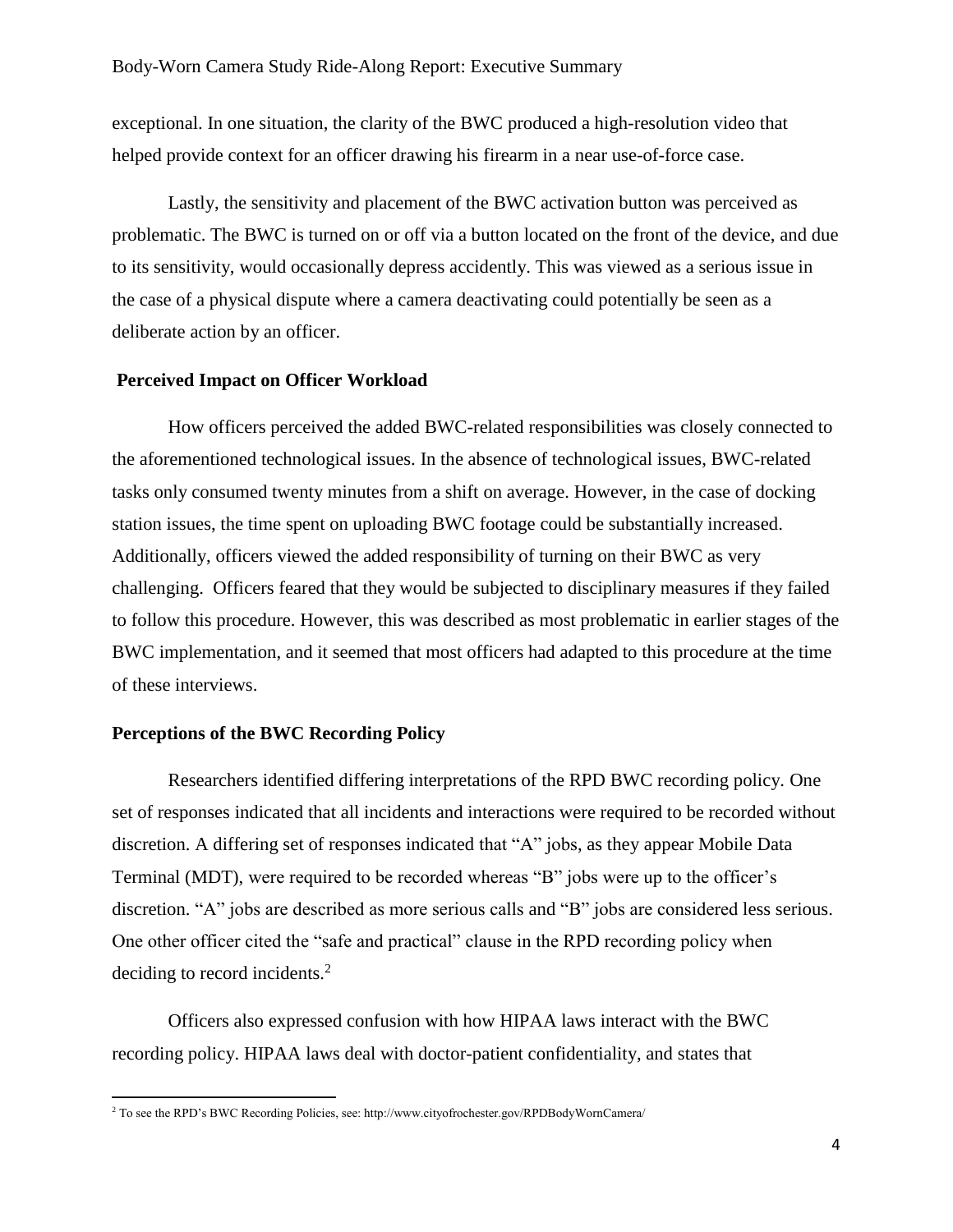exceptional. In one situation, the clarity of the BWC produced a high-resolution video that helped provide context for an officer drawing his firearm in a near use-of-force case.

Lastly, the sensitivity and placement of the BWC activation button was perceived as problematic. The BWC is turned on or off via a button located on the front of the device, and due to its sensitivity, would occasionally depress accidently. This was viewed as a serious issue in the case of a physical dispute where a camera deactivating could potentially be seen as a deliberate action by an officer.

### **Perceived Impact on Officer Workload**

How officers perceived the added BWC-related responsibilities was closely connected to the aforementioned technological issues. In the absence of technological issues, BWC-related tasks only consumed twenty minutes from a shift on average. However, in the case of docking station issues, the time spent on uploading BWC footage could be substantially increased. Additionally, officers viewed the added responsibility of turning on their BWC as very challenging. Officers feared that they would be subjected to disciplinary measures if they failed to follow this procedure. However, this was described as most problematic in earlier stages of the BWC implementation, and it seemed that most officers had adapted to this procedure at the time of these interviews.

#### **Perceptions of the BWC Recording Policy**

 $\overline{a}$ 

Researchers identified differing interpretations of the RPD BWC recording policy. One set of responses indicated that all incidents and interactions were required to be recorded without discretion. A differing set of responses indicated that "A" jobs, as they appear Mobile Data Terminal (MDT), were required to be recorded whereas "B" jobs were up to the officer's discretion. "A" jobs are described as more serious calls and "B" jobs are considered less serious. One other officer cited the "safe and practical" clause in the RPD recording policy when deciding to record incidents.<sup>2</sup>

Officers also expressed confusion with how HIPAA laws interact with the BWC recording policy. HIPAA laws deal with doctor-patient confidentiality, and states that

<sup>2</sup> To see the RPD's BWC Recording Policies, see: http://www.cityofrochester.gov/RPDBodyWornCamera/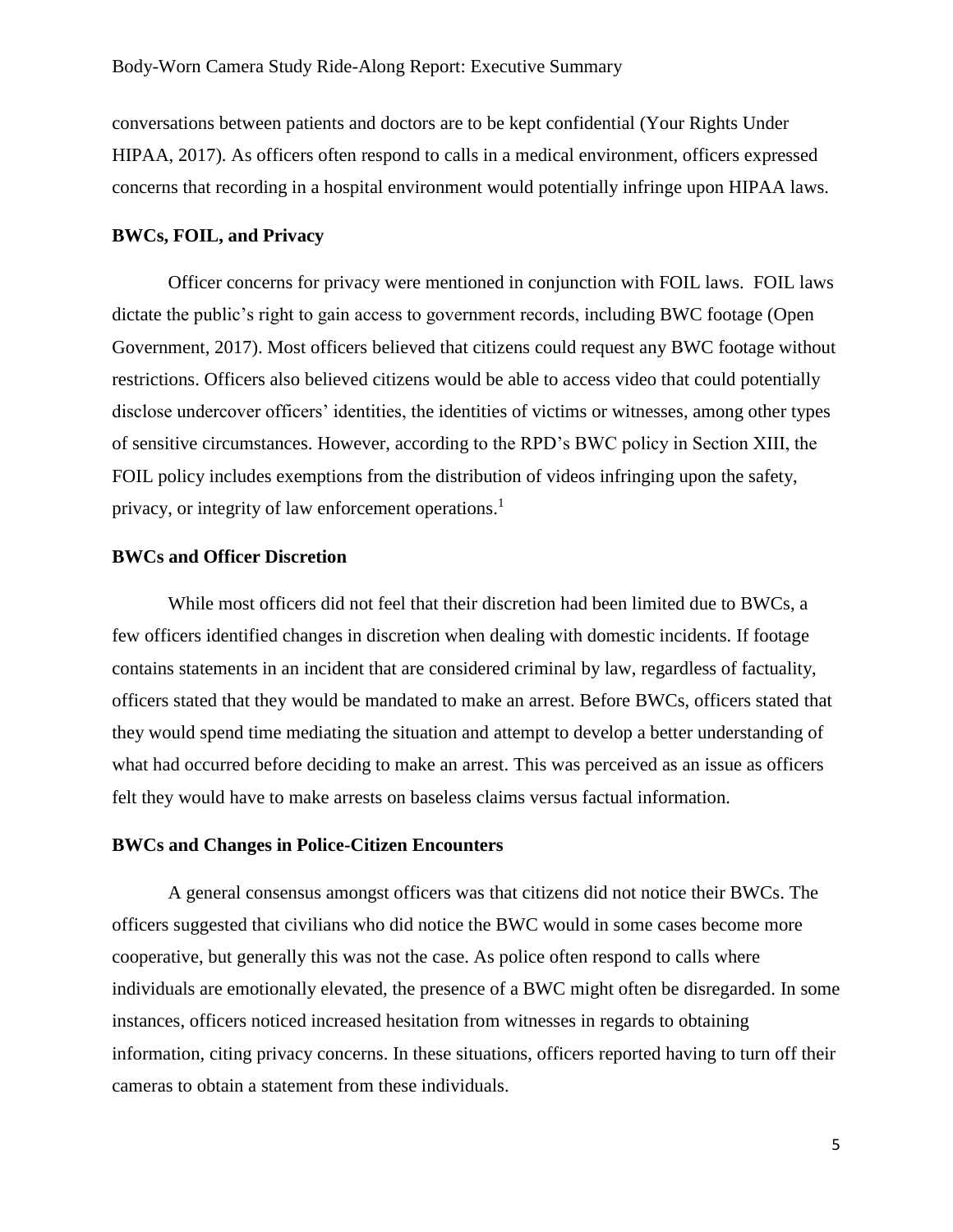conversations between patients and doctors are to be kept confidential (Your Rights Under HIPAA, 2017). As officers often respond to calls in a medical environment, officers expressed concerns that recording in a hospital environment would potentially infringe upon HIPAA laws.

#### **BWCs, FOIL, and Privacy**

Officer concerns for privacy were mentioned in conjunction with FOIL laws. FOIL laws dictate the public's right to gain access to government records, including BWC footage (Open Government, 2017). Most officers believed that citizens could request any BWC footage without restrictions. Officers also believed citizens would be able to access video that could potentially disclose undercover officers' identities, the identities of victims or witnesses, among other types of sensitive circumstances. However, according to the RPD's BWC policy in Section XIII, the FOIL policy includes exemptions from the distribution of videos infringing upon the safety, privacy, or integrity of law enforcement operations.<sup>1</sup>

#### **BWCs and Officer Discretion**

While most officers did not feel that their discretion had been limited due to BWCs, a few officers identified changes in discretion when dealing with domestic incidents. If footage contains statements in an incident that are considered criminal by law, regardless of factuality, officers stated that they would be mandated to make an arrest. Before BWCs, officers stated that they would spend time mediating the situation and attempt to develop a better understanding of what had occurred before deciding to make an arrest. This was perceived as an issue as officers felt they would have to make arrests on baseless claims versus factual information.

#### **BWCs and Changes in Police-Citizen Encounters**

A general consensus amongst officers was that citizens did not notice their BWCs. The officers suggested that civilians who did notice the BWC would in some cases become more cooperative, but generally this was not the case. As police often respond to calls where individuals are emotionally elevated, the presence of a BWC might often be disregarded. In some instances, officers noticed increased hesitation from witnesses in regards to obtaining information, citing privacy concerns. In these situations, officers reported having to turn off their cameras to obtain a statement from these individuals.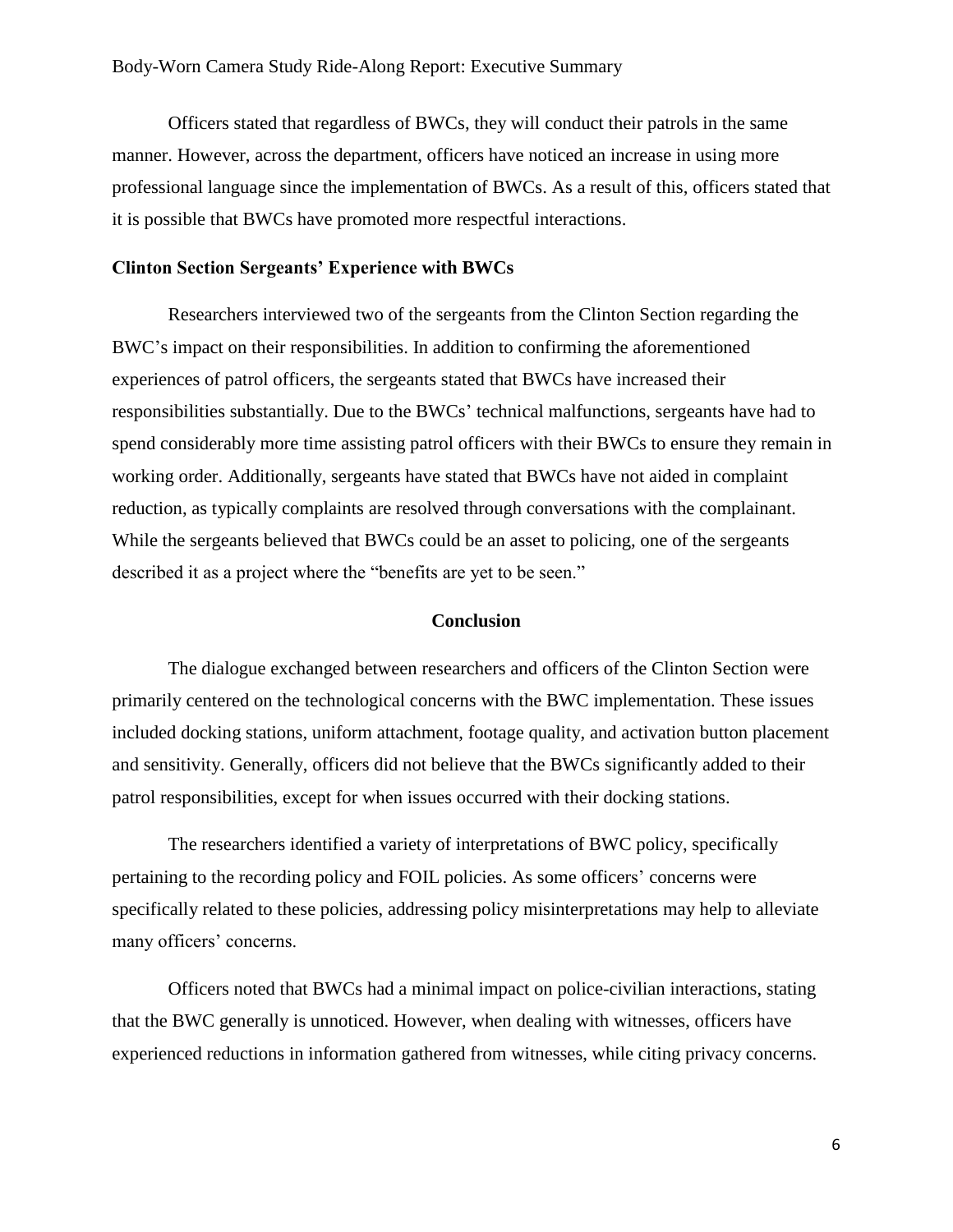#### Body-Worn Camera Study Ride-Along Report: Executive Summary

Officers stated that regardless of BWCs, they will conduct their patrols in the same manner. However, across the department, officers have noticed an increase in using more professional language since the implementation of BWCs. As a result of this, officers stated that it is possible that BWCs have promoted more respectful interactions.

#### **Clinton Section Sergeants' Experience with BWCs**

Researchers interviewed two of the sergeants from the Clinton Section regarding the BWC's impact on their responsibilities. In addition to confirming the aforementioned experiences of patrol officers, the sergeants stated that BWCs have increased their responsibilities substantially. Due to the BWCs' technical malfunctions, sergeants have had to spend considerably more time assisting patrol officers with their BWCs to ensure they remain in working order. Additionally, sergeants have stated that BWCs have not aided in complaint reduction, as typically complaints are resolved through conversations with the complainant. While the sergeants believed that BWCs could be an asset to policing, one of the sergeants described it as a project where the "benefits are yet to be seen."

#### **Conclusion**

The dialogue exchanged between researchers and officers of the Clinton Section were primarily centered on the technological concerns with the BWC implementation. These issues included docking stations, uniform attachment, footage quality, and activation button placement and sensitivity. Generally, officers did not believe that the BWCs significantly added to their patrol responsibilities, except for when issues occurred with their docking stations.

The researchers identified a variety of interpretations of BWC policy, specifically pertaining to the recording policy and FOIL policies. As some officers' concerns were specifically related to these policies, addressing policy misinterpretations may help to alleviate many officers' concerns.

Officers noted that BWCs had a minimal impact on police-civilian interactions, stating that the BWC generally is unnoticed. However, when dealing with witnesses, officers have experienced reductions in information gathered from witnesses, while citing privacy concerns.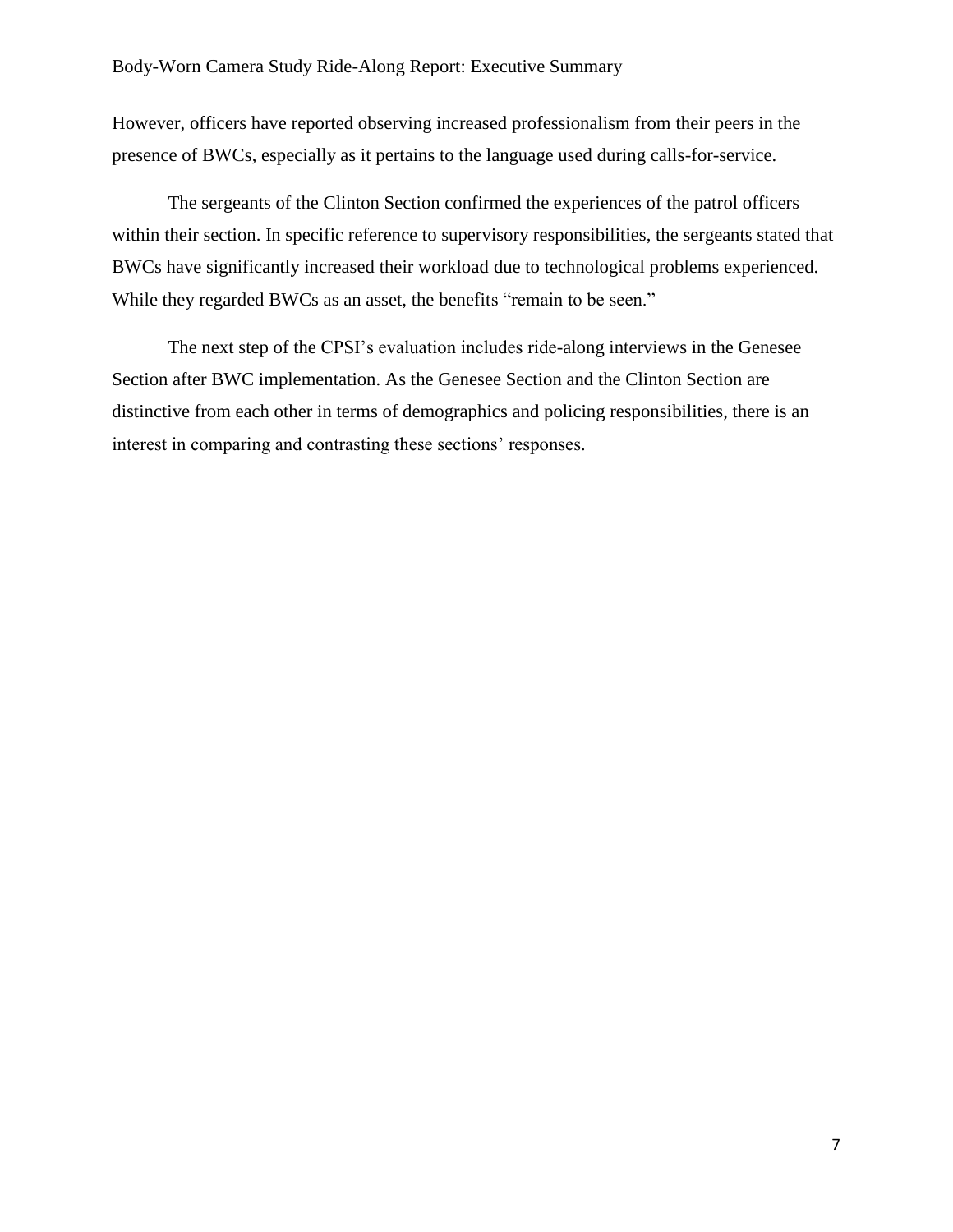#### Body-Worn Camera Study Ride-Along Report: Executive Summary

However, officers have reported observing increased professionalism from their peers in the presence of BWCs, especially as it pertains to the language used during calls-for-service.

The sergeants of the Clinton Section confirmed the experiences of the patrol officers within their section. In specific reference to supervisory responsibilities, the sergeants stated that BWCs have significantly increased their workload due to technological problems experienced. While they regarded BWCs as an asset, the benefits "remain to be seen."

The next step of the CPSI's evaluation includes ride-along interviews in the Genesee Section after BWC implementation. As the Genesee Section and the Clinton Section are distinctive from each other in terms of demographics and policing responsibilities, there is an interest in comparing and contrasting these sections' responses.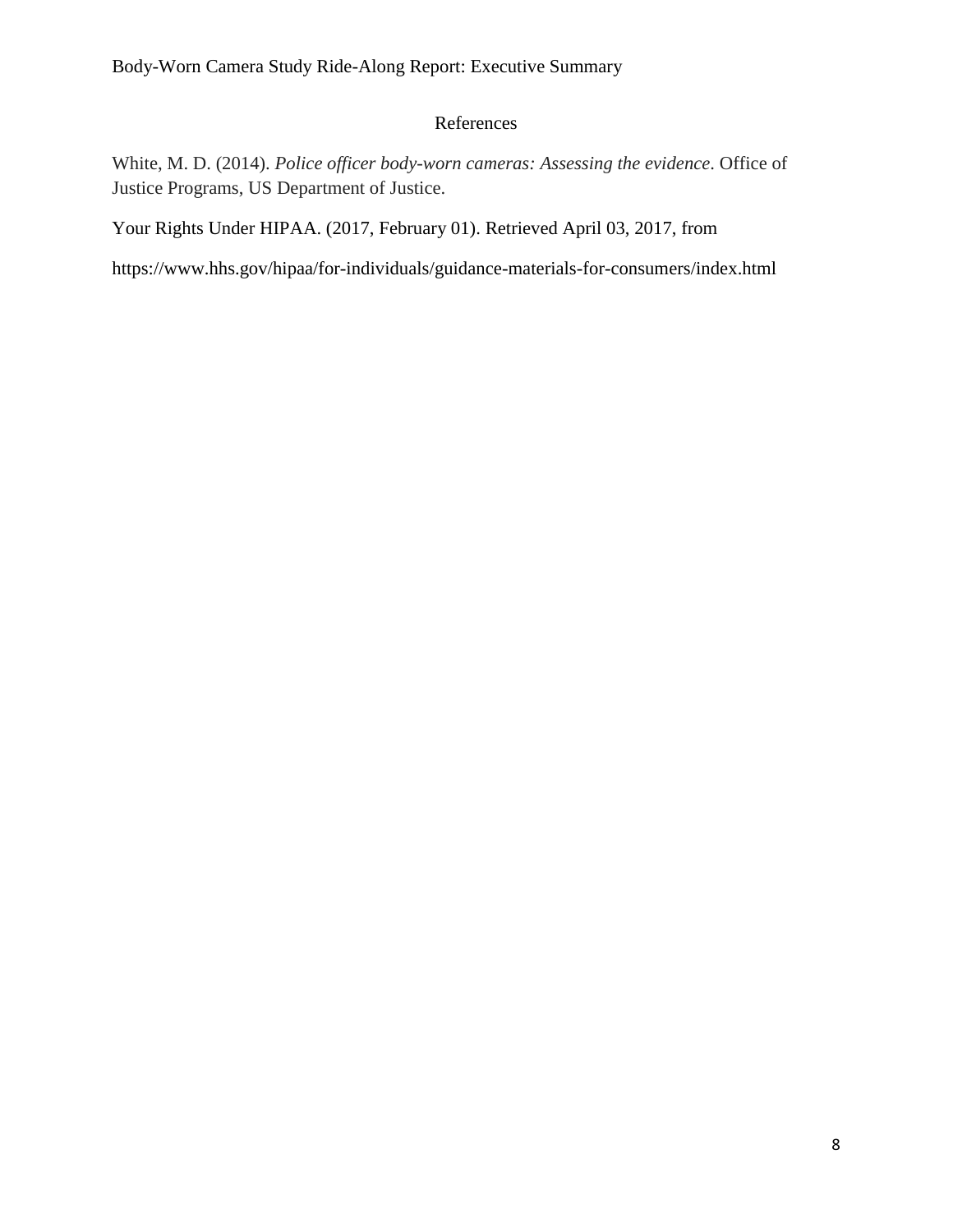# References

White, M. D. (2014). *Police officer body-worn cameras: Assessing the evidence*. Office of Justice Programs, US Department of Justice.

Your Rights Under HIPAA. (2017, February 01). Retrieved April 03, 2017, from

https://www.hhs.gov/hipaa/for-individuals/guidance-materials-for-consumers/index.html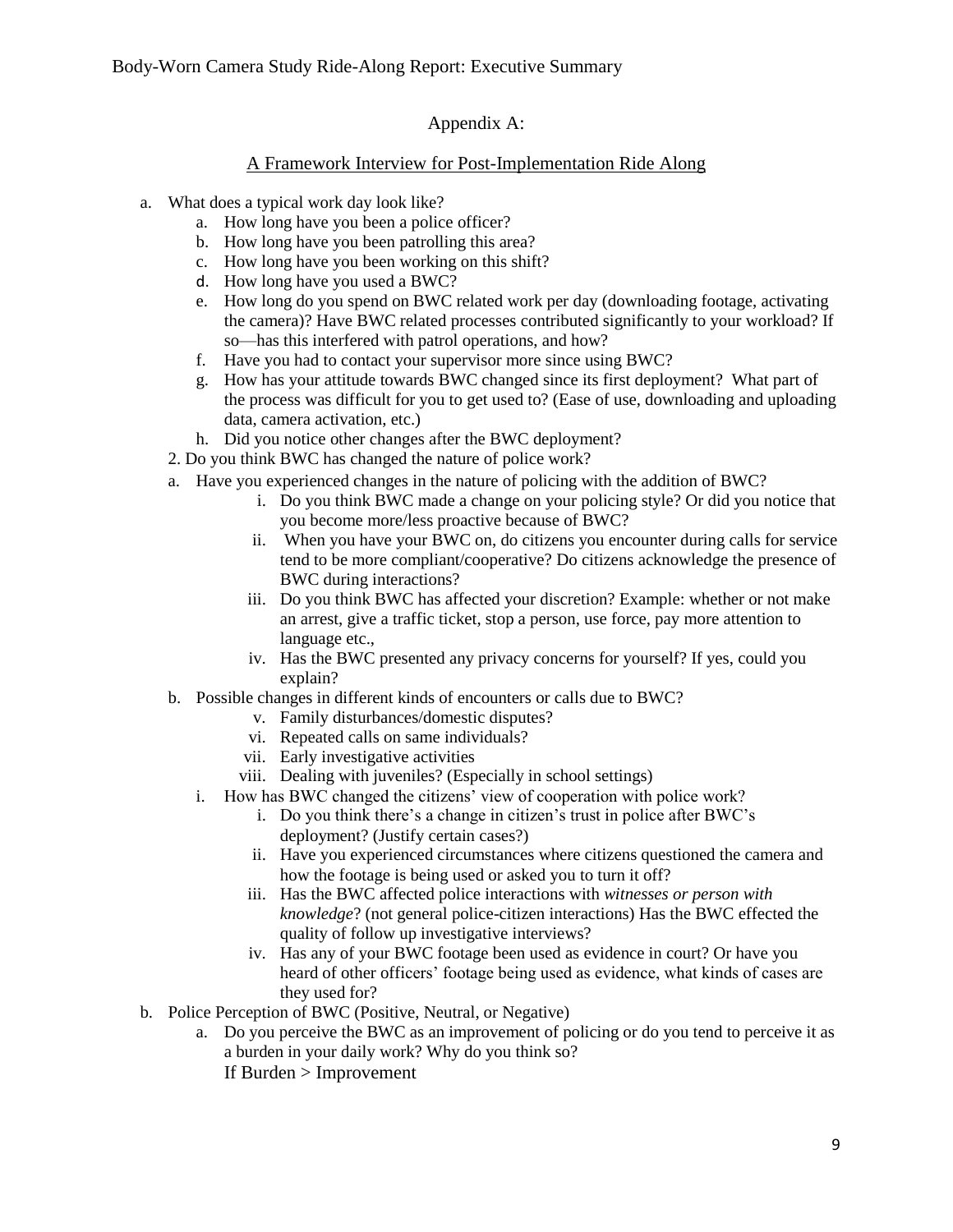# Appendix A:

# A Framework Interview for Post-Implementation Ride Along

- a. What does a typical work day look like?
	- a. How long have you been a police officer?
	- b. How long have you been patrolling this area?
	- c. How long have you been working on this shift?
	- d. How long have you used a BWC?
	- e. How long do you spend on BWC related work per day (downloading footage, activating the camera)? Have BWC related processes contributed significantly to your workload? If so—has this interfered with patrol operations, and how?
	- f. Have you had to contact your supervisor more since using BWC?
	- g. How has your attitude towards BWC changed since its first deployment? What part of the process was difficult for you to get used to? (Ease of use, downloading and uploading data, camera activation, etc.)
	- h. Did you notice other changes after the BWC deployment?
	- 2. Do you think BWC has changed the nature of police work?
	- a. Have you experienced changes in the nature of policing with the addition of BWC?
		- i. Do you think BWC made a change on your policing style? Or did you notice that you become more/less proactive because of BWC?
		- ii. When you have your BWC on, do citizens you encounter during calls for service tend to be more compliant/cooperative? Do citizens acknowledge the presence of BWC during interactions?
		- iii. Do you think BWC has affected your discretion? Example: whether or not make an arrest, give a traffic ticket, stop a person, use force, pay more attention to language etc.,
		- iv. Has the BWC presented any privacy concerns for yourself? If yes, could you explain?
	- b. Possible changes in different kinds of encounters or calls due to BWC?
		- v. Family disturbances/domestic disputes?
		- vi. Repeated calls on same individuals?
		- vii. Early investigative activities
		- viii. Dealing with juveniles? (Especially in school settings)
		- i. How has BWC changed the citizens' view of cooperation with police work?
			- i. Do you think there's a change in citizen's trust in police after BWC's deployment? (Justify certain cases?)
			- ii. Have you experienced circumstances where citizens questioned the camera and how the footage is being used or asked you to turn it off?
			- iii. Has the BWC affected police interactions with *witnesses or person with knowledge*? (not general police-citizen interactions) Has the BWC effected the quality of follow up investigative interviews?
			- iv. Has any of your BWC footage been used as evidence in court? Or have you heard of other officers' footage being used as evidence, what kinds of cases are they used for?
- b. Police Perception of BWC (Positive, Neutral, or Negative)
	- a. Do you perceive the BWC as an improvement of policing or do you tend to perceive it as a burden in your daily work? Why do you think so? If Burden > Improvement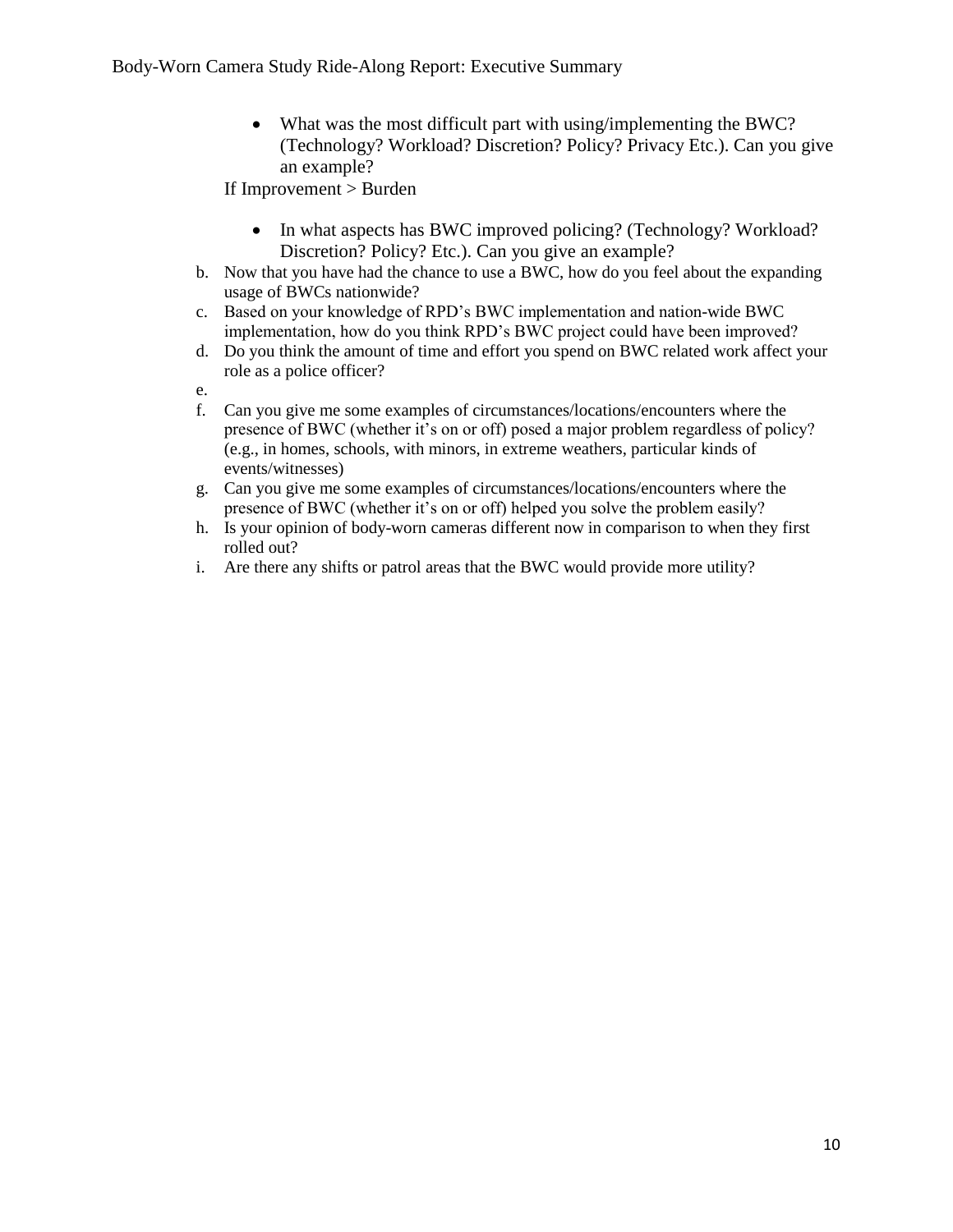• What was the most difficult part with using/implementing the BWC? (Technology? Workload? Discretion? Policy? Privacy Etc.). Can you give an example?

If Improvement > Burden

- In what aspects has BWC improved policing? (Technology? Workload? Discretion? Policy? Etc.). Can you give an example?
- b. Now that you have had the chance to use a BWC, how do you feel about the expanding usage of BWCs nationwide?
- c. Based on your knowledge of RPD's BWC implementation and nation-wide BWC implementation, how do you think RPD's BWC project could have been improved?
- d. Do you think the amount of time and effort you spend on BWC related work affect your role as a police officer?

e.

- f. Can you give me some examples of circumstances/locations/encounters where the presence of BWC (whether it's on or off) posed a major problem regardless of policy? (e.g., in homes, schools, with minors, in extreme weathers, particular kinds of events/witnesses)
- g. Can you give me some examples of circumstances/locations/encounters where the presence of BWC (whether it's on or off) helped you solve the problem easily?
- h. Is your opinion of body-worn cameras different now in comparison to when they first rolled out?
- i. Are there any shifts or patrol areas that the BWC would provide more utility?